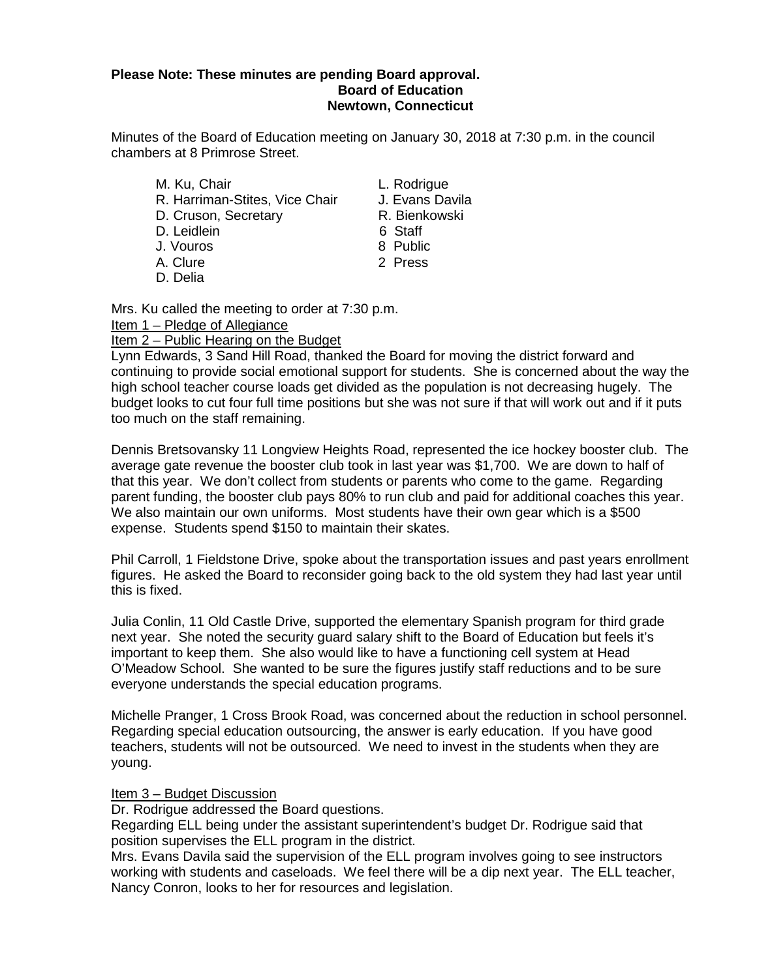### **Please Note: These minutes are pending Board approval. Board of Education Newtown, Connecticut**

Minutes of the Board of Education meeting on January 30, 2018 at 7:30 p.m. in the council chambers at 8 Primrose Street.

- M. Ku, Chair **M. Ku, Chair**<br>R. Harriman-Stites. Vice Chair All Evans Davila R. Harriman-Stites, Vice Chair J. Evans Davila<br>D. Cruson, Secretary **G. B. B. B. Bienkowski** D. Cruson, Secretary **R. Bienkowski**n, Secretary R. Bienkowskin, R. Bienkowskin, R. Bienkowskin, R. Bienkowskin<br>C. Leidlein D. Leidlein J. Vouros 8 Public A. Clure 2 Press
- 
- D. Delia
- 
- 
- 
- 
- 
- 

Mrs. Ku called the meeting to order at 7:30 p.m.

Item 1 – Pledge of Allegiance

Item 2 – Public Hearing on the Budget

Lynn Edwards, 3 Sand Hill Road, thanked the Board for moving the district forward and continuing to provide social emotional support for students. She is concerned about the way the high school teacher course loads get divided as the population is not decreasing hugely. The budget looks to cut four full time positions but she was not sure if that will work out and if it puts too much on the staff remaining.

Dennis Bretsovansky 11 Longview Heights Road, represented the ice hockey booster club. The average gate revenue the booster club took in last year was \$1,700. We are down to half of that this year. We don't collect from students or parents who come to the game. Regarding parent funding, the booster club pays 80% to run club and paid for additional coaches this year. We also maintain our own uniforms. Most students have their own gear which is a \$500 expense. Students spend \$150 to maintain their skates.

Phil Carroll, 1 Fieldstone Drive, spoke about the transportation issues and past years enrollment figures. He asked the Board to reconsider going back to the old system they had last year until this is fixed.

Julia Conlin, 11 Old Castle Drive, supported the elementary Spanish program for third grade next year. She noted the security guard salary shift to the Board of Education but feels it's important to keep them. She also would like to have a functioning cell system at Head O'Meadow School. She wanted to be sure the figures justify staff reductions and to be sure everyone understands the special education programs.

Michelle Pranger, 1 Cross Brook Road, was concerned about the reduction in school personnel. Regarding special education outsourcing, the answer is early education. If you have good teachers, students will not be outsourced. We need to invest in the students when they are young.

### Item 3 – Budget Discussion

Dr. Rodrigue addressed the Board questions.

Regarding ELL being under the assistant superintendent's budget Dr. Rodrigue said that position supervises the ELL program in the district.

Mrs. Evans Davila said the supervision of the ELL program involves going to see instructors working with students and caseloads. We feel there will be a dip next year. The ELL teacher, Nancy Conron, looks to her for resources and legislation.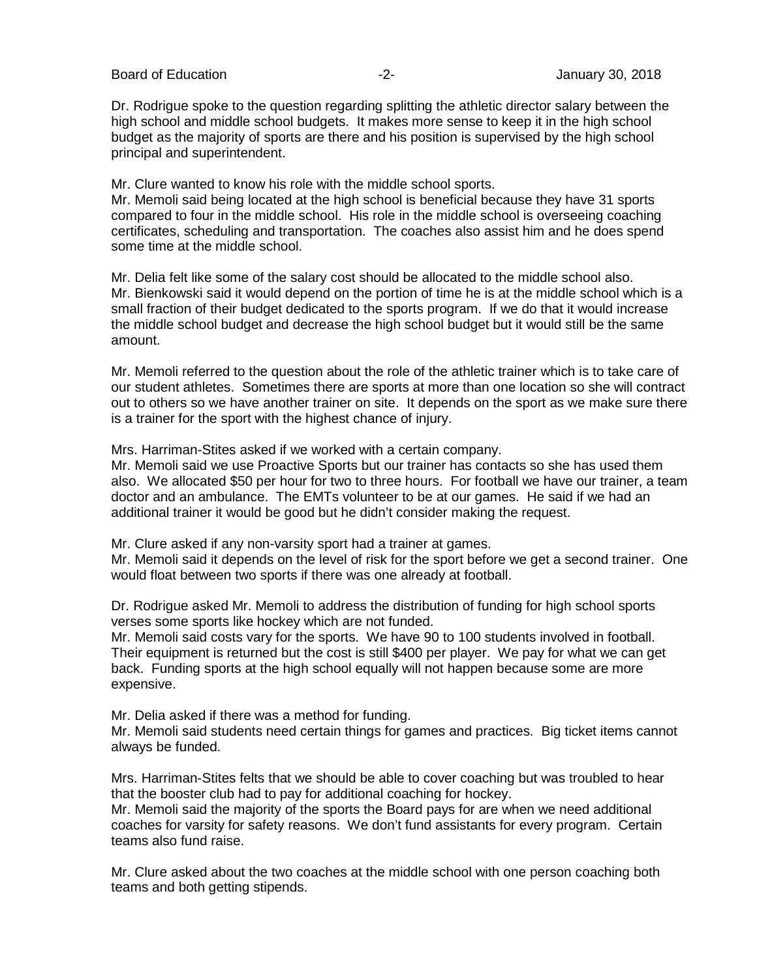Board of Education **-2-** Figure 2. Figure 2. Figure 30, 2018

Dr. Rodrigue spoke to the question regarding splitting the athletic director salary between the high school and middle school budgets. It makes more sense to keep it in the high school budget as the majority of sports are there and his position is supervised by the high school principal and superintendent.

Mr. Clure wanted to know his role with the middle school sports.

Mr. Memoli said being located at the high school is beneficial because they have 31 sports compared to four in the middle school. His role in the middle school is overseeing coaching certificates, scheduling and transportation. The coaches also assist him and he does spend some time at the middle school.

Mr. Delia felt like some of the salary cost should be allocated to the middle school also. Mr. Bienkowski said it would depend on the portion of time he is at the middle school which is a small fraction of their budget dedicated to the sports program. If we do that it would increase the middle school budget and decrease the high school budget but it would still be the same amount.

Mr. Memoli referred to the question about the role of the athletic trainer which is to take care of our student athletes. Sometimes there are sports at more than one location so she will contract out to others so we have another trainer on site. It depends on the sport as we make sure there is a trainer for the sport with the highest chance of injury.

Mrs. Harriman-Stites asked if we worked with a certain company.

Mr. Memoli said we use Proactive Sports but our trainer has contacts so she has used them also. We allocated \$50 per hour for two to three hours. For football we have our trainer, a team doctor and an ambulance. The EMTs volunteer to be at our games. He said if we had an additional trainer it would be good but he didn't consider making the request.

Mr. Clure asked if any non-varsity sport had a trainer at games.

Mr. Memoli said it depends on the level of risk for the sport before we get a second trainer. One would float between two sports if there was one already at football.

Dr. Rodrigue asked Mr. Memoli to address the distribution of funding for high school sports verses some sports like hockey which are not funded.

Mr. Memoli said costs vary for the sports. We have 90 to 100 students involved in football. Their equipment is returned but the cost is still \$400 per player. We pay for what we can get back. Funding sports at the high school equally will not happen because some are more expensive.

Mr. Delia asked if there was a method for funding.

Mr. Memoli said students need certain things for games and practices. Big ticket items cannot always be funded.

Mrs. Harriman-Stites felts that we should be able to cover coaching but was troubled to hear that the booster club had to pay for additional coaching for hockey.

Mr. Memoli said the majority of the sports the Board pays for are when we need additional coaches for varsity for safety reasons. We don't fund assistants for every program. Certain teams also fund raise.

Mr. Clure asked about the two coaches at the middle school with one person coaching both teams and both getting stipends.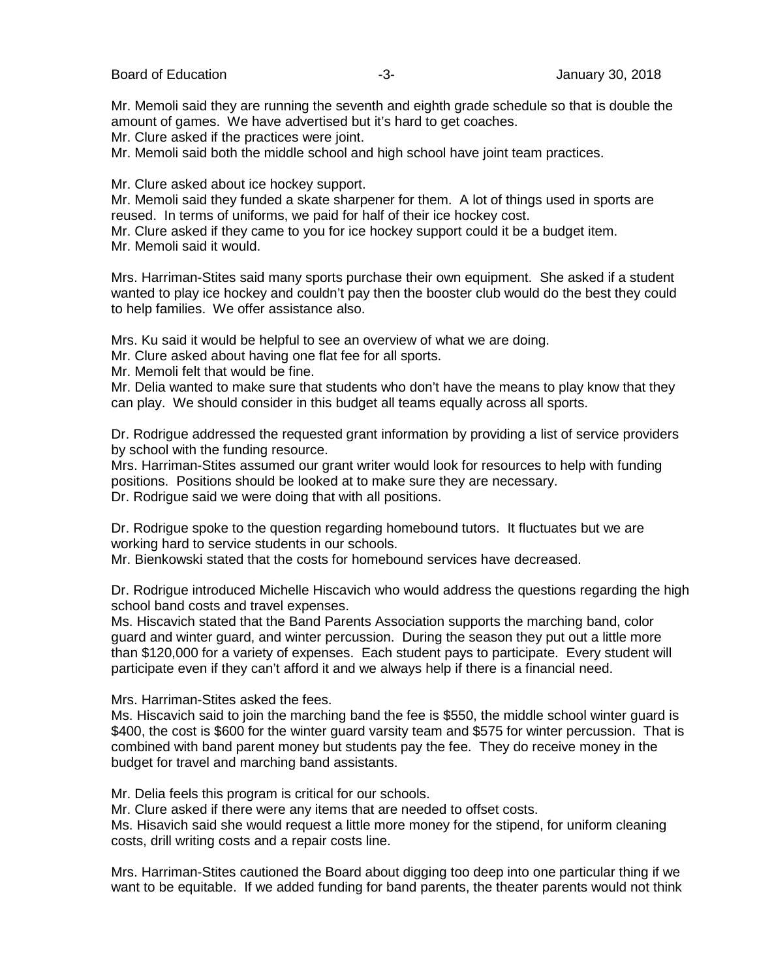Board of Education **-3-** Figure 2018 **January 30, 2018** 

Mr. Memoli said they are running the seventh and eighth grade schedule so that is double the amount of games. We have advertised but it's hard to get coaches.

Mr. Clure asked if the practices were joint.

Mr. Memoli said both the middle school and high school have joint team practices.

Mr. Clure asked about ice hockey support.

Mr. Memoli said they funded a skate sharpener for them. A lot of things used in sports are reused. In terms of uniforms, we paid for half of their ice hockey cost.

Mr. Clure asked if they came to you for ice hockey support could it be a budget item. Mr. Memoli said it would.

Mrs. Harriman-Stites said many sports purchase their own equipment. She asked if a student wanted to play ice hockey and couldn't pay then the booster club would do the best they could to help families. We offer assistance also.

Mrs. Ku said it would be helpful to see an overview of what we are doing.

Mr. Clure asked about having one flat fee for all sports.

Mr. Memoli felt that would be fine.

Mr. Delia wanted to make sure that students who don't have the means to play know that they can play. We should consider in this budget all teams equally across all sports.

Dr. Rodrigue addressed the requested grant information by providing a list of service providers by school with the funding resource.

Mrs. Harriman-Stites assumed our grant writer would look for resources to help with funding positions. Positions should be looked at to make sure they are necessary. Dr. Rodrigue said we were doing that with all positions.

Dr. Rodrigue spoke to the question regarding homebound tutors. It fluctuates but we are working hard to service students in our schools.

Mr. Bienkowski stated that the costs for homebound services have decreased.

Dr. Rodrigue introduced Michelle Hiscavich who would address the questions regarding the high school band costs and travel expenses.

Ms. Hiscavich stated that the Band Parents Association supports the marching band, color guard and winter guard, and winter percussion. During the season they put out a little more than \$120,000 for a variety of expenses. Each student pays to participate. Every student will participate even if they can't afford it and we always help if there is a financial need.

Mrs. Harriman-Stites asked the fees.

Ms. Hiscavich said to join the marching band the fee is \$550, the middle school winter guard is \$400, the cost is \$600 for the winter guard varsity team and \$575 for winter percussion. That is combined with band parent money but students pay the fee. They do receive money in the budget for travel and marching band assistants.

Mr. Delia feels this program is critical for our schools.

Mr. Clure asked if there were any items that are needed to offset costs.

Ms. Hisavich said she would request a little more money for the stipend, for uniform cleaning costs, drill writing costs and a repair costs line.

Mrs. Harriman-Stites cautioned the Board about digging too deep into one particular thing if we want to be equitable. If we added funding for band parents, the theater parents would not think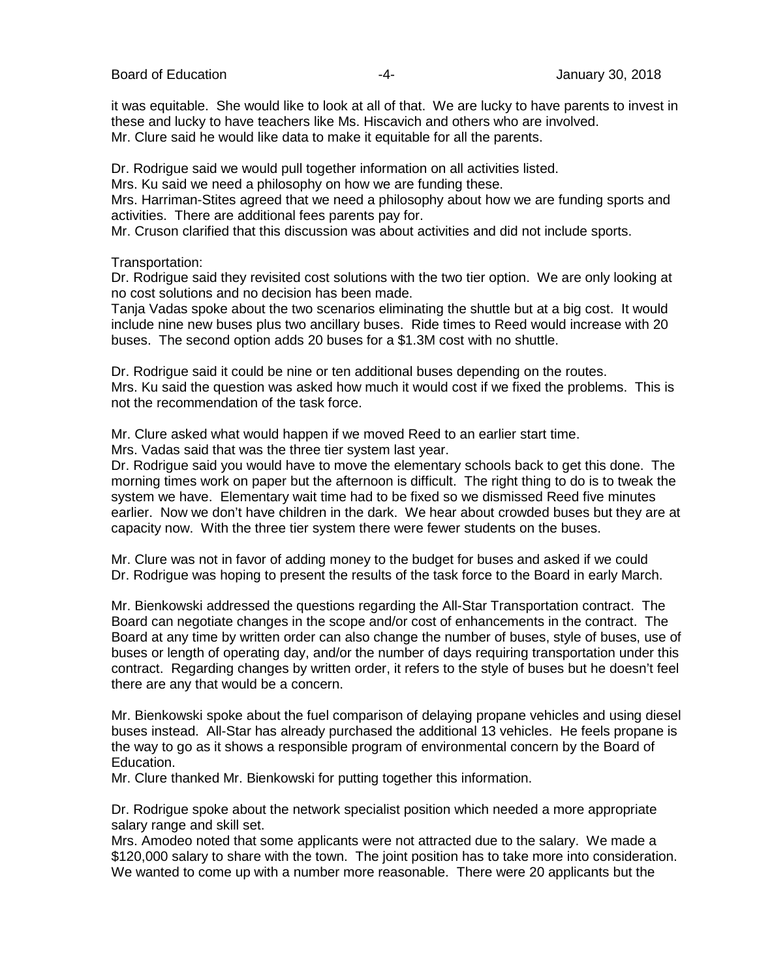Board of Education **-4-** Figure 2018 **-4-** All controls use of the Unit of Security 30, 2018

it was equitable. She would like to look at all of that. We are lucky to have parents to invest in these and lucky to have teachers like Ms. Hiscavich and others who are involved. Mr. Clure said he would like data to make it equitable for all the parents.

Dr. Rodrigue said we would pull together information on all activities listed.

Mrs. Ku said we need a philosophy on how we are funding these.

Mrs. Harriman-Stites agreed that we need a philosophy about how we are funding sports and activities. There are additional fees parents pay for.

Mr. Cruson clarified that this discussion was about activities and did not include sports.

Transportation:

Dr. Rodrigue said they revisited cost solutions with the two tier option. We are only looking at no cost solutions and no decision has been made.

Tanja Vadas spoke about the two scenarios eliminating the shuttle but at a big cost. It would include nine new buses plus two ancillary buses. Ride times to Reed would increase with 20 buses. The second option adds 20 buses for a \$1.3M cost with no shuttle.

Dr. Rodrigue said it could be nine or ten additional buses depending on the routes. Mrs. Ku said the question was asked how much it would cost if we fixed the problems. This is not the recommendation of the task force.

Mr. Clure asked what would happen if we moved Reed to an earlier start time.

Mrs. Vadas said that was the three tier system last year.

Dr. Rodrigue said you would have to move the elementary schools back to get this done. The morning times work on paper but the afternoon is difficult. The right thing to do is to tweak the system we have. Elementary wait time had to be fixed so we dismissed Reed five minutes earlier. Now we don't have children in the dark. We hear about crowded buses but they are at capacity now. With the three tier system there were fewer students on the buses.

Mr. Clure was not in favor of adding money to the budget for buses and asked if we could Dr. Rodrigue was hoping to present the results of the task force to the Board in early March.

Mr. Bienkowski addressed the questions regarding the All-Star Transportation contract. The Board can negotiate changes in the scope and/or cost of enhancements in the contract. The Board at any time by written order can also change the number of buses, style of buses, use of buses or length of operating day, and/or the number of days requiring transportation under this contract. Regarding changes by written order, it refers to the style of buses but he doesn't feel there are any that would be a concern.

Mr. Bienkowski spoke about the fuel comparison of delaying propane vehicles and using diesel buses instead. All-Star has already purchased the additional 13 vehicles. He feels propane is the way to go as it shows a responsible program of environmental concern by the Board of Education.

Mr. Clure thanked Mr. Bienkowski for putting together this information.

Dr. Rodrigue spoke about the network specialist position which needed a more appropriate salary range and skill set.

Mrs. Amodeo noted that some applicants were not attracted due to the salary. We made a \$120,000 salary to share with the town. The joint position has to take more into consideration. We wanted to come up with a number more reasonable. There were 20 applicants but the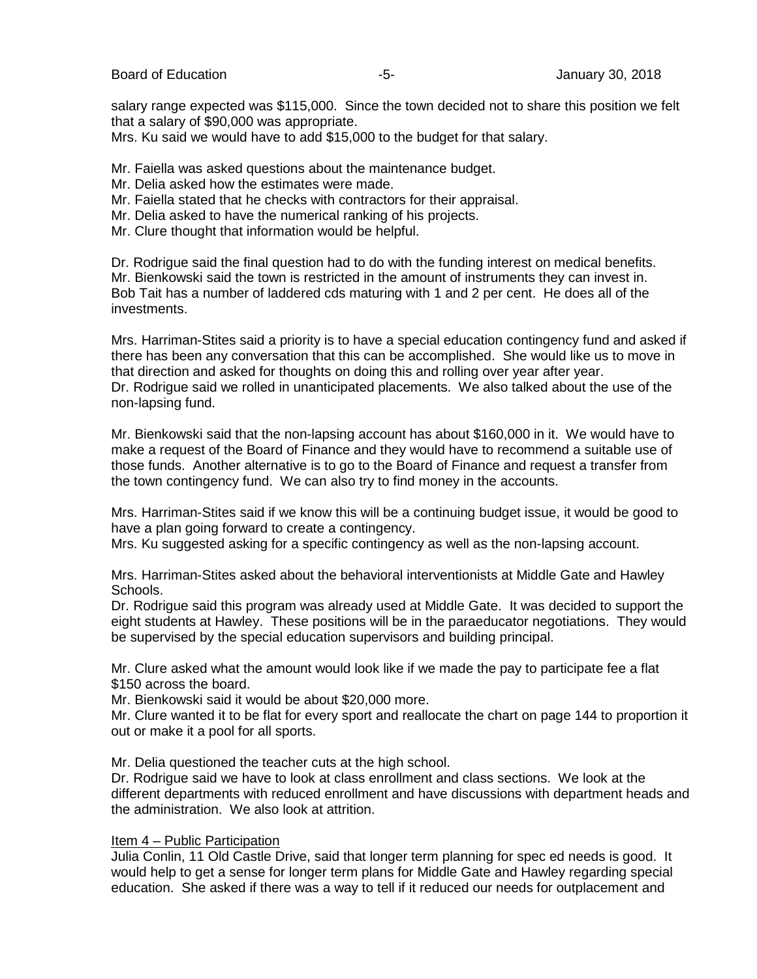Board of Education **-5-** Formulation **-5-** Formulation of Education **-5-** Formulation **January 30, 2018** 

salary range expected was \$115,000. Since the town decided not to share this position we felt that a salary of \$90,000 was appropriate.

Mrs. Ku said we would have to add \$15,000 to the budget for that salary.

Mr. Faiella was asked questions about the maintenance budget.

- Mr. Delia asked how the estimates were made.
- Mr. Faiella stated that he checks with contractors for their appraisal.
- Mr. Delia asked to have the numerical ranking of his projects.
- Mr. Clure thought that information would be helpful.

Dr. Rodrigue said the final question had to do with the funding interest on medical benefits. Mr. Bienkowski said the town is restricted in the amount of instruments they can invest in. Bob Tait has a number of laddered cds maturing with 1 and 2 per cent. He does all of the investments.

Mrs. Harriman-Stites said a priority is to have a special education contingency fund and asked if there has been any conversation that this can be accomplished. She would like us to move in that direction and asked for thoughts on doing this and rolling over year after year. Dr. Rodrigue said we rolled in unanticipated placements. We also talked about the use of the non-lapsing fund.

Mr. Bienkowski said that the non-lapsing account has about \$160,000 in it. We would have to make a request of the Board of Finance and they would have to recommend a suitable use of those funds. Another alternative is to go to the Board of Finance and request a transfer from the town contingency fund. We can also try to find money in the accounts.

Mrs. Harriman-Stites said if we know this will be a continuing budget issue, it would be good to have a plan going forward to create a contingency.

Mrs. Ku suggested asking for a specific contingency as well as the non-lapsing account.

Mrs. Harriman-Stites asked about the behavioral interventionists at Middle Gate and Hawley Schools.

Dr. Rodrigue said this program was already used at Middle Gate. It was decided to support the eight students at Hawley. These positions will be in the paraeducator negotiations. They would be supervised by the special education supervisors and building principal.

Mr. Clure asked what the amount would look like if we made the pay to participate fee a flat \$150 across the board.

Mr. Bienkowski said it would be about \$20,000 more.

Mr. Clure wanted it to be flat for every sport and reallocate the chart on page 144 to proportion it out or make it a pool for all sports.

Mr. Delia questioned the teacher cuts at the high school.

Dr. Rodrigue said we have to look at class enrollment and class sections. We look at the different departments with reduced enrollment and have discussions with department heads and the administration. We also look at attrition.

### Item 4 – Public Participation

Julia Conlin, 11 Old Castle Drive, said that longer term planning for spec ed needs is good. It would help to get a sense for longer term plans for Middle Gate and Hawley regarding special education. She asked if there was a way to tell if it reduced our needs for outplacement and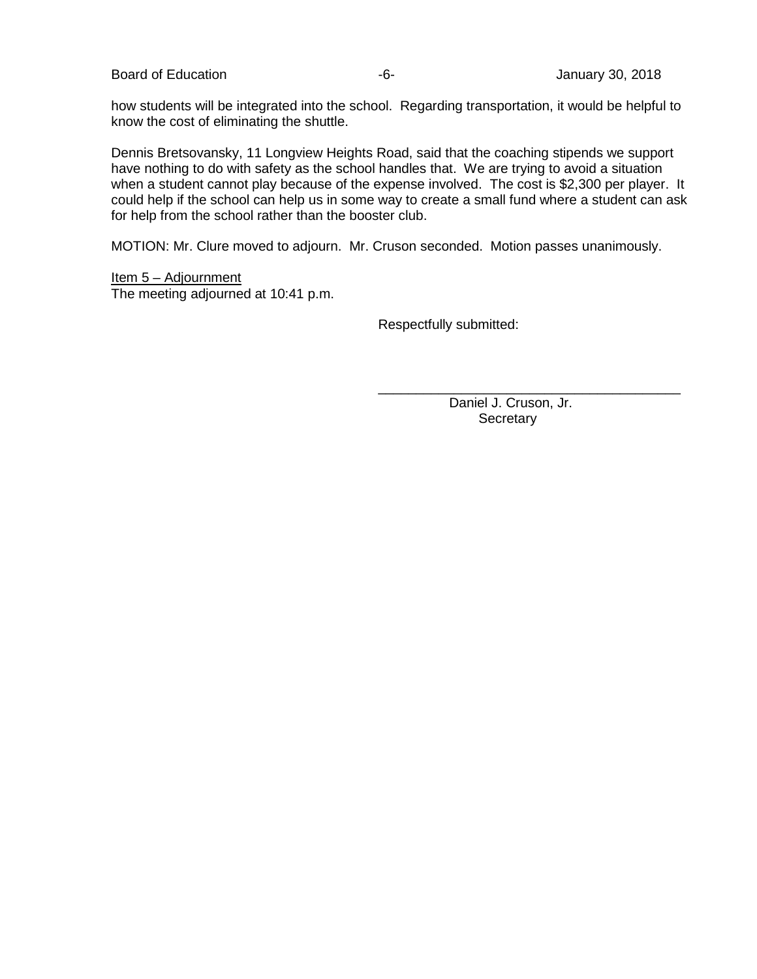Board of Education **Contract Contract Contract Contract Contract Contract Contract Contract Contract Contract Contract Contract Contract Contract Contract Contract Contract Contract Contract Contract Contract Contract Cont** 

how students will be integrated into the school. Regarding transportation, it would be helpful to know the cost of eliminating the shuttle.

Dennis Bretsovansky, 11 Longview Heights Road, said that the coaching stipends we support have nothing to do with safety as the school handles that. We are trying to avoid a situation when a student cannot play because of the expense involved. The cost is \$2,300 per player. It could help if the school can help us in some way to create a small fund where a student can ask for help from the school rather than the booster club.

MOTION: Mr. Clure moved to adjourn. Mr. Cruson seconded. Motion passes unanimously.

Item 5 – Adjournment The meeting adjourned at 10:41 p.m.

Respectfully submitted:

 Daniel J. Cruson, Jr. **Secretary** 

\_\_\_\_\_\_\_\_\_\_\_\_\_\_\_\_\_\_\_\_\_\_\_\_\_\_\_\_\_\_\_\_\_\_\_\_\_\_\_\_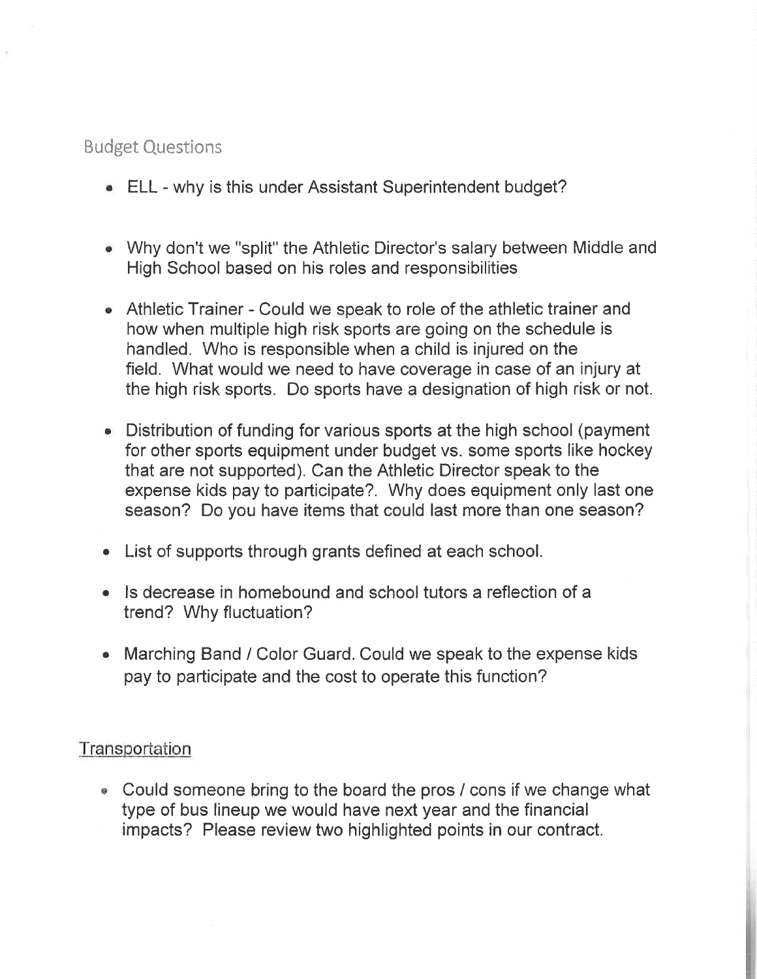# **Budget Questions**

- ELL why is this under Assistant Superintendent budget?
- Why don't we "split" the Athletic Director's salary between Middle and High School based on his roles and responsibilities
- Athletic Trainer Could we speak to role of the athletic trainer and how when multiple high risk sports are going on the schedule is handled. Who is responsible when a child is injured on the field. What would we need to have coverage in case of an injury at the high risk sports. Do sports have a designation of high risk or not.
- Distribution of funding for various sports at the high school (payment for other sports equipment under budget vs. some sports like hockey that are not supported). Can the Athletic Director speak to the expense kids pay to participate?. Why does equipment only last one season? Do you have items that could last more than one season?
- List of supports through grants defined at each school.
- Is decrease in homebound and school tutors a reflection of a trend? Why fluctuation?
- Marching Band / Color Guard. Could we speak to the expense kids pay to participate and the cost to operate this function?

## Transportation

• Could someone bring to the board the pros / cons if we change what type of bus lineup we would have next year and the financial impacts? Please review two highlighted points in our contract.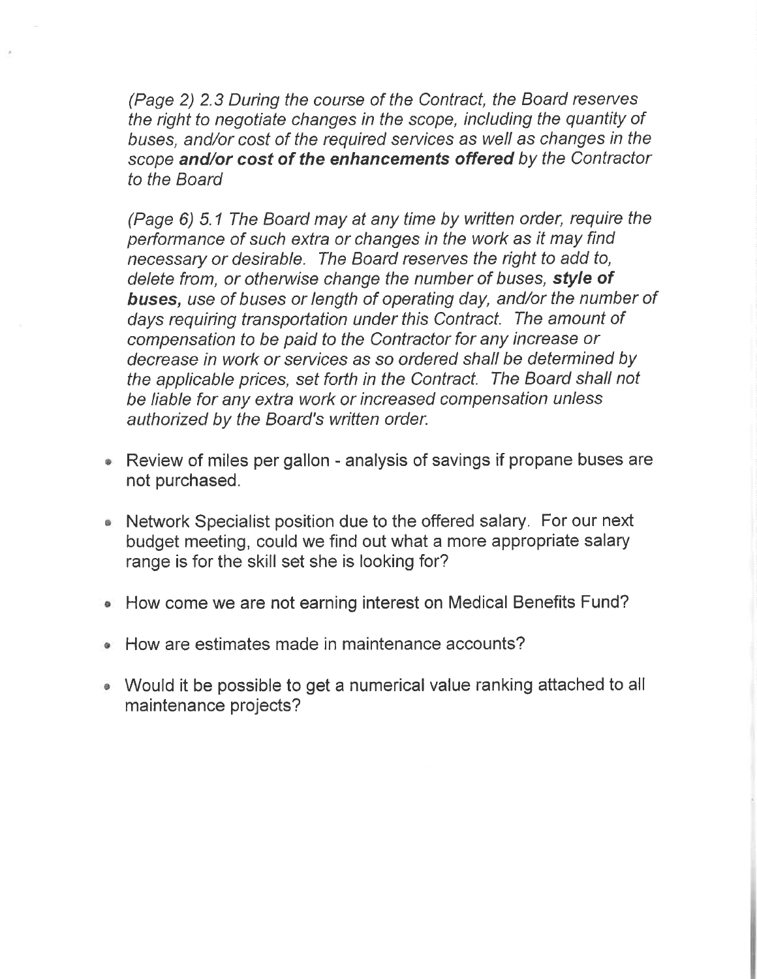(Page 2) 2.3 During the course of the Contract, the Board reserves the right to negotiate changes in the scope, including the quantity of buses, and/or cost of the required services as well as changes in the scope and/or cost of the enhancements offered by the Contractor to the Board

(Page 6) 5.1 The Board may at any time by written order, require the performance of such extra or changes in the work as it may find necessary or desirable. The Board reserves the right to add to, delete from, or otherwise change the number of buses, style of buses, use of buses or length of operating day, and/or the number of days requiring transportation under this Contract. The amount of compensation to be paid to the Contractor for any increase or decrease in work or services as so ordered shall be determined by the applicable prices, set forth in the Contract. The Board shall not be liable for any extra work or increased compensation unless authorized by the Board's written order.

- Review of miles per gallon analysis of savings if propane buses are not purchased.
- Network Specialist position due to the offered salary. For our next budget meeting, could we find out what a more appropriate salary range is for the skill set she is looking for?
- How come we are not earning interest on Medical Benefits Fund? ۰
- How are estimates made in maintenance accounts?  $\bullet$
- Would it be possible to get a numerical value ranking attached to all maintenance projects?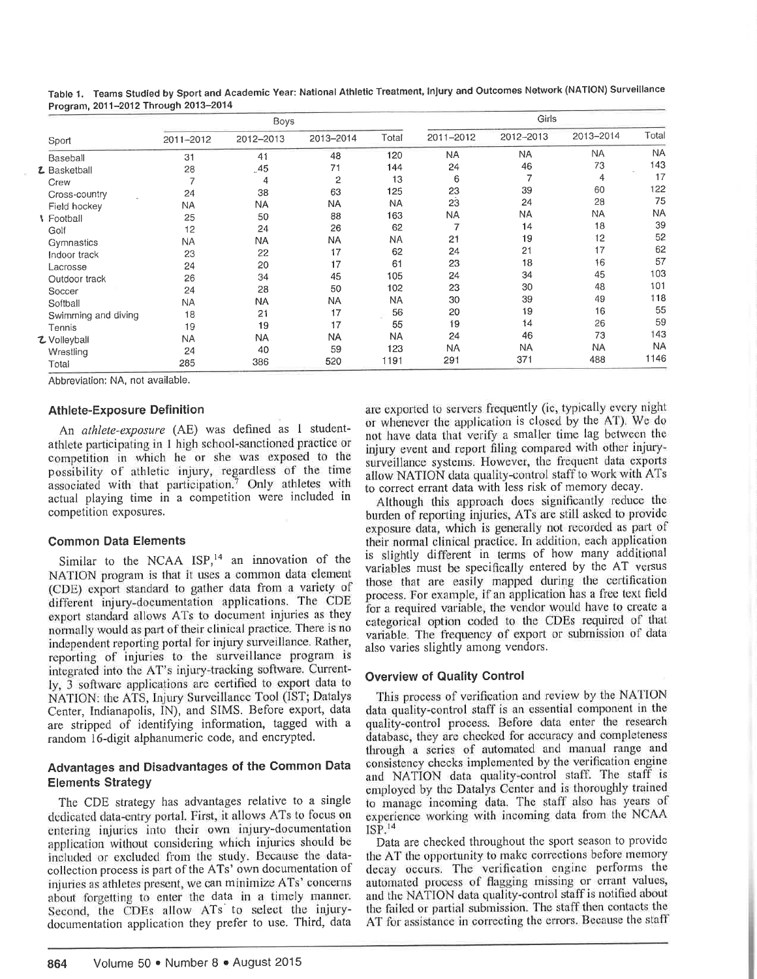|                     |                | Boys      |                |           |           | Girls     |           |           |
|---------------------|----------------|-----------|----------------|-----------|-----------|-----------|-----------|-----------|
| Sport               | 2011-2012      | 2012-2013 | 2013-2014      | Total     | 2011-2012 | 2012-2013 | 2013-2014 | Total     |
| Baseball            | 31             | 41        | 48             | 120       | <b>NA</b> | <b>NA</b> | <b>NA</b> | <b>NA</b> |
| <b>Z</b> Basketball | 28             | .45       | 71             | 144       | 24        | 46        | 73        | 143       |
| Crew                | $\overline{ }$ | 4         | $\overline{2}$ | 13        | 6         | 7         | 4         | 17        |
| Cross-country       | 24             | 38        | 63             | 125       | 23        | 39        | 60        | 122       |
| Field hockey        | <b>NA</b>      | <b>NA</b> | <b>NA</b>      | <b>NA</b> | 23        | 24        | 28        | 75        |
| <b>I</b> Football   | 25             | 50        | 88             | 163       | <b>NA</b> | <b>NA</b> | <b>NA</b> | <b>NA</b> |
| Golf                | 12             | 24        | 26             | 62        |           | 14        | 18        | 39        |
| Gymnastics          | <b>NA</b>      | <b>NA</b> | NA.            | NA        | 21        | 19        | 12        | 52        |
| Indoor track        | 23             | 22        | 17             | 62        | 24        | 21        | 17        | 62        |
| Lacrosse            | 24             | 20        | 17             | 61        | 23        | 18        | 16        | 57        |
| Outdoor track       | 26             | 34        | 45             | 105       | 24        | 34        | 45        | 103       |
| Soccer              | 24             | 28        | 50             | 102       | 23        | 30        | 48        | 101       |
| Softball            | NA             | NA        | <b>NA</b>      | <b>NA</b> | 30        | 39        | 49        | 118       |
| Swimming and diving | 18             | 21        | 17             | 56        | 20        | 19        | 16        | 55        |
| Tennis              | 19             | 19        | 17             | 55        | 19        | 14        | 26        | 59        |
| て Volleyball        | NA             | <b>NA</b> | <b>NA</b>      | <b>NA</b> | 24        | 46        | 73        | 143       |
| Wrestling           | 24             | 40        | 59             | 123       | <b>NA</b> | <b>NA</b> | NA        | <b>NA</b> |
| Total               | 285            | 386       | 520            | 1191      | 291       | 371       | 488       | 1146      |

Table 1. Teams Studied by Sport and Academic Year: National Athletic Treatment, Injury and Outcomes Network (NATION) Surveillance Program, 2011-2012 Through 2013-2014

Abbreviation: NA, not available.

### **Athlete-Exposure Definition**

An athlete-exposure (AE) was defined as 1 studentathlete participating in 1 high school-sanctioned practice or competition in which he or she was exposed to the possibility of athletic injury, regardless of the time associated with that participation.<sup>7</sup> Only athletes with actual playing time in a competition were included in competition exposures.

### **Common Data Elements**

Similar to the NCAA ISP,<sup>14</sup> an innovation of the NATION program is that it uses a common data element (CDE) export standard to gather data from a variety of different injury-documentation applications. The CDE export standard allows ATs to document injuries as they normally would as part of their clinical practice. There is no independent reporting portal for injury surveillance. Rather, reporting of injuries to the surveillance program is integrated into the AT's injury-tracking software. Currently, 3 software applications are certified to export data to NATION: the ATS, Injury Surveillance Tool (IST; Datalys Center, Indianapolis, IN), and SIMS. Before export, data are stripped of identifying information, tagged with a random 16-digit alphanumeric code, and encrypted.

### Advantages and Disadvantages of the Common Data **Elements Strategy**

The CDE strategy has advantages relative to a single dedicated data-entry portal. First, it allows ATs to focus on entering injuries into their own injury-documentation application without considering which injuries should be included or excluded from the study. Because the datacollection process is part of the ATs' own documentation of injuries as athletes present, we can minimize ATs' concerns about forgetting to enter the data in a timely manner. Second, the CDEs allow ATs to select the injurydocumentation application they prefer to use. Third, data are exported to servers frequently (ie, typically every night or whenever the application is closed by the AT). We do not have data that verify a smaller time lag between the injury event and report filing compared with other injurysurveillance systems. However, the frequent data exports allow NATION data quality-control staff to work with ATs to correct errant data with less risk of memory decay.

Although this approach does significantly reduce the burden of reporting injuries, ATs are still asked to provide exposure data, which is generally not recorded as part of their normal clinical practice. In addition, each application is slightly different in terms of how many additional variables must be specifically entered by the AT versus those that are easily mapped during the certification process. For example, if an application has a free text field for a required variable, the vendor would have to create a categorical option coded to the CDEs required of that variable. The frequency of export or submission of data also varies slightly among vendors.

### **Overview of Quality Control**

This process of verification and review by the NATION data quality-control staff is an essential component in the quality-control process. Before data enter the research database, they are checked for accuracy and completeness through a series of automated and manual range and consistency checks implemented by the verification engine and NATION data quality-control staff. The staff is employed by the Datalys Center and is thoroughly trained to manage incoming data. The staff also has years of experience working with incoming data from the NCAA  $ISP.^{14}$ 

Data are checked throughout the sport season to provide the AT the opportunity to make corrections before memory decay occurs. The verification engine performs the automated process of flagging missing or errant values, and the NATION data quality-control staff is notified about the failed or partial submission. The staff then contacts the AT for assistance in correcting the errors. Because the staff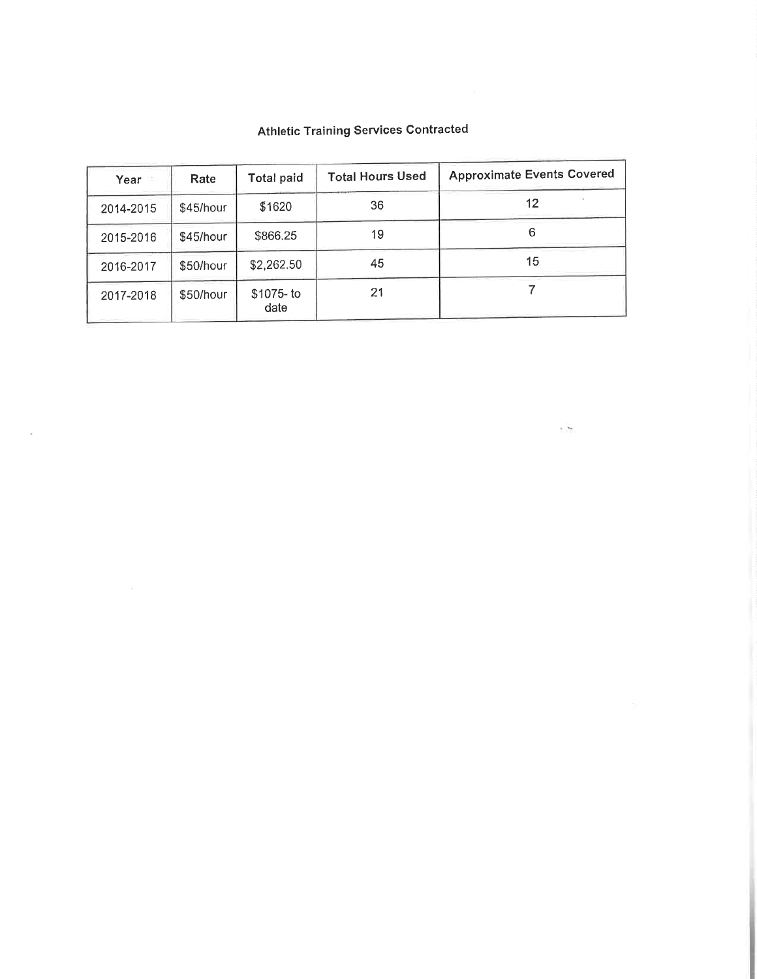| Year      | Rate      | <b>Total paid</b>   | <b>Total Hours Used</b> | <b>Approximate Events Covered</b> |
|-----------|-----------|---------------------|-------------------------|-----------------------------------|
| 2014-2015 | \$45/hour | \$1620              | 36                      | 12                                |
| 2015-2016 | \$45/hour | \$866.25            | 19                      | 6                                 |
| 2016-2017 | \$50/hour | \$2,262.50          | 45                      | 15                                |
| 2017-2018 | \$50/hour | $$1075- to$<br>date | 21                      |                                   |

 $\alpha$ 

 $\mathcal{A}_\mathrm{R}$ 

### **Athletic Training Services Contracted**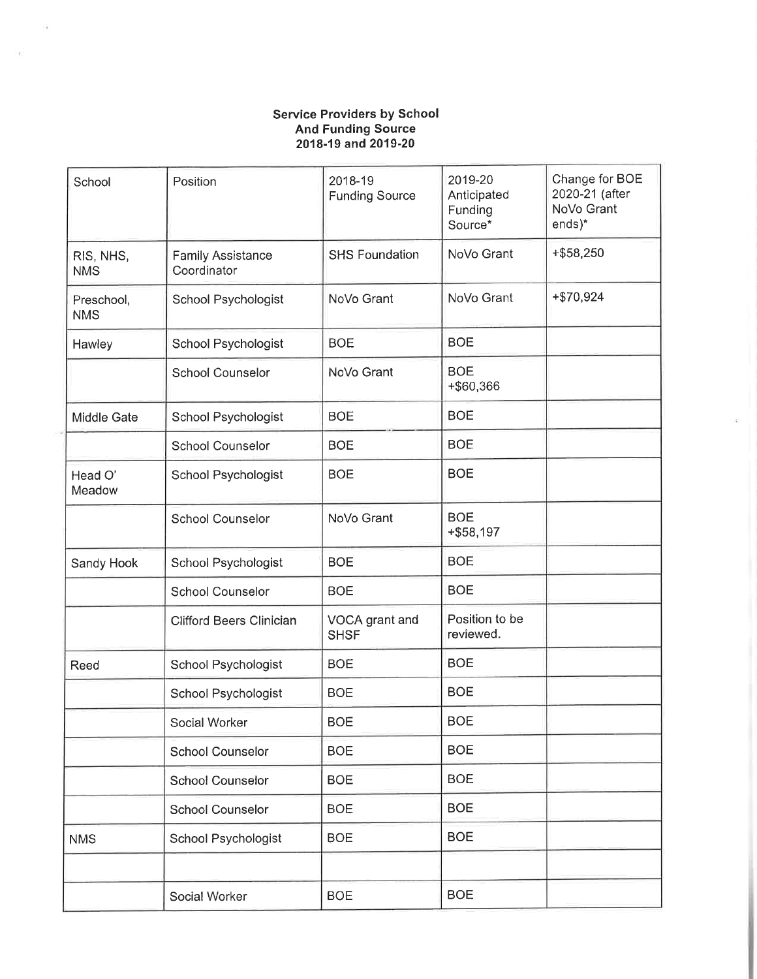# Service Providers by School<br>And Funding Source<br>2018-19 and 2019-20

| School                   | Position                                | 2018-19<br><b>Funding Source</b> | 2019-20<br>Anticipated<br>Funding<br>Source* | Change for BOE<br>2020-21 (after<br>NoVo Grant<br>ends)* |
|--------------------------|-----------------------------------------|----------------------------------|----------------------------------------------|----------------------------------------------------------|
| RIS, NHS,<br><b>NMS</b>  | <b>Family Assistance</b><br>Coordinator | <b>SHS Foundation</b>            | NoVo Grant                                   | $+ $58,250$                                              |
| Preschool,<br><b>NMS</b> | School Psychologist                     | NoVo Grant                       | NoVo Grant                                   | $+ $70,924$                                              |
| Hawley                   | School Psychologist                     | <b>BOE</b>                       | <b>BOE</b>                                   |                                                          |
|                          | <b>School Counselor</b>                 | NoVo Grant                       | <b>BOE</b><br>+\$60,366                      |                                                          |
| Middle Gate              | School Psychologist                     | <b>BOE</b>                       | <b>BOE</b>                                   |                                                          |
|                          | <b>School Counselor</b>                 | <b>BOE</b>                       | <b>BOE</b>                                   |                                                          |
| Head O'<br>Meadow        | School Psychologist                     | <b>BOE</b>                       | <b>BOE</b>                                   |                                                          |
|                          | <b>School Counselor</b>                 | NoVo Grant                       | <b>BOE</b><br>$+$ \$58,197                   |                                                          |
| Sandy Hook               | School Psychologist                     | <b>BOE</b>                       | <b>BOE</b>                                   |                                                          |
|                          | <b>School Counselor</b>                 | <b>BOE</b>                       | <b>BOE</b>                                   |                                                          |
|                          | <b>Clifford Beers Clinician</b>         | VOCA grant and<br><b>SHSF</b>    | Position to be<br>reviewed.                  |                                                          |
| Reed                     | School Psychologist                     | <b>BOE</b>                       | <b>BOE</b>                                   |                                                          |
|                          | School Psychologist                     | <b>BOE</b>                       | <b>BOE</b>                                   |                                                          |
|                          | Social Worker                           | <b>BOE</b>                       | <b>BOE</b>                                   |                                                          |
|                          | School Counselor                        | <b>BOE</b>                       | <b>BOE</b>                                   |                                                          |
|                          | <b>School Counselor</b>                 | <b>BOE</b>                       | <b>BOE</b>                                   |                                                          |
|                          | <b>School Counselor</b>                 | <b>BOE</b>                       | <b>BOE</b>                                   |                                                          |
| <b>NMS</b>               | School Psychologist                     | <b>BOE</b>                       | <b>BOE</b>                                   |                                                          |
|                          |                                         |                                  |                                              |                                                          |
|                          | Social Worker                           | <b>BOE</b>                       | <b>BOE</b>                                   |                                                          |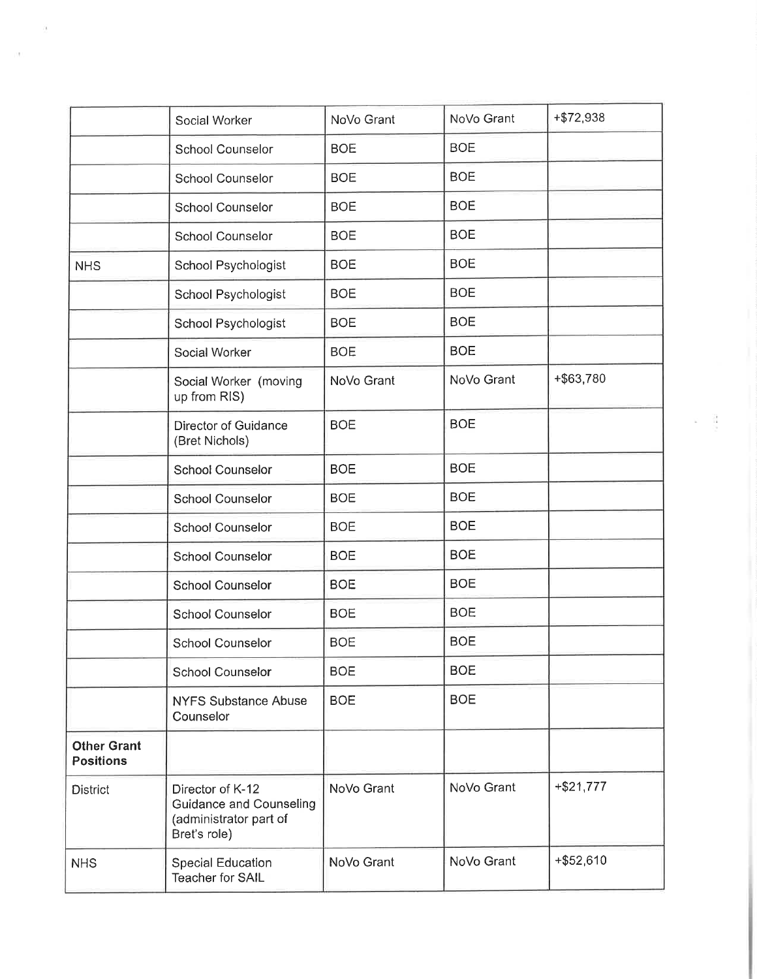|                                        | Social Worker                                                                                | NoVo Grant | NoVo Grant | +\$72,938   |
|----------------------------------------|----------------------------------------------------------------------------------------------|------------|------------|-------------|
|                                        | <b>School Counselor</b>                                                                      | <b>BOE</b> | <b>BOE</b> |             |
|                                        | <b>School Counselor</b>                                                                      | <b>BOE</b> | <b>BOE</b> |             |
|                                        | <b>School Counselor</b>                                                                      | <b>BOE</b> | <b>BOE</b> |             |
|                                        | <b>School Counselor</b>                                                                      | <b>BOE</b> | <b>BOE</b> |             |
| <b>NHS</b>                             | School Psychologist                                                                          | <b>BOE</b> | <b>BOE</b> |             |
|                                        | School Psychologist                                                                          | <b>BOE</b> | <b>BOE</b> |             |
|                                        | School Psychologist                                                                          | <b>BOE</b> | <b>BOE</b> |             |
|                                        | Social Worker                                                                                | <b>BOE</b> | <b>BOE</b> |             |
|                                        | Social Worker (moving<br>up from RIS)                                                        | NoVo Grant | NoVo Grant | +\$63,780   |
|                                        | Director of Guidance<br>(Bret Nichols)                                                       | <b>BOE</b> | <b>BOE</b> |             |
|                                        | <b>School Counselor</b>                                                                      | <b>BOE</b> | <b>BOE</b> |             |
|                                        | <b>School Counselor</b>                                                                      | <b>BOE</b> | <b>BOE</b> |             |
|                                        | <b>School Counselor</b>                                                                      | <b>BOE</b> | <b>BOE</b> |             |
|                                        | <b>School Counselor</b>                                                                      | <b>BOE</b> | <b>BOE</b> |             |
|                                        | <b>School Counselor</b>                                                                      | <b>BOE</b> | <b>BOE</b> |             |
|                                        | School Counselor                                                                             | <b>BOE</b> | <b>BOE</b> |             |
|                                        | <b>School Counselor</b>                                                                      | <b>BOE</b> | <b>BOE</b> |             |
|                                        | <b>School Counselor</b>                                                                      | <b>BOE</b> | <b>BOE</b> |             |
|                                        | <b>NYFS Substance Abuse</b><br>Counselor                                                     | <b>BOE</b> | <b>BOE</b> |             |
| <b>Other Grant</b><br><b>Positions</b> |                                                                                              |            |            |             |
| <b>District</b>                        | Director of K-12<br><b>Guidance and Counseling</b><br>(administrator part of<br>Bret's role) | NoVo Grant | NoVo Grant | $+ $21,777$ |
| <b>NHS</b>                             | <b>Special Education</b><br>Teacher for SAIL                                                 | NoVo Grant | NoVo Grant | $+ $52,610$ |

Ĩ,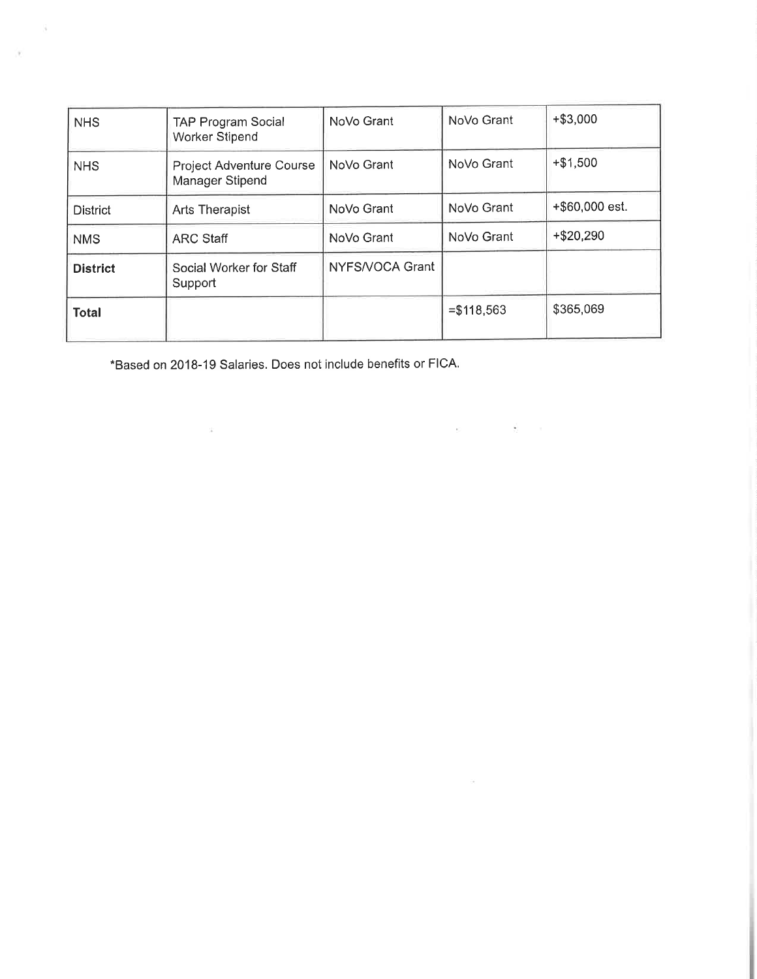| <b>NHS</b>      | TAP Program Social<br><b>Worker Stipend</b>        | NoVo Grant      | NoVo Grant   | $+ $3,000$     |
|-----------------|----------------------------------------------------|-----------------|--------------|----------------|
| <b>NHS</b>      | <b>Project Adventure Course</b><br>Manager Stipend | NoVo Grant      | NoVo Grant   | $+ $1,500$     |
| <b>District</b> | <b>Arts Therapist</b>                              | NoVo Grant      | NoVo Grant   | +\$60,000 est. |
| <b>NMS</b>      | <b>ARC Staff</b>                                   | NoVo Grant      | NoVo Grant   | $+ $20,290$    |
| <b>District</b> | Social Worker for Staff<br>Support                 | NYFS/VOCA Grant |              |                |
| <b>Total</b>    |                                                    |                 | $= $118,563$ | \$365,069      |

 $\sim$ 

\*Based on 2018-19 Salaries. Does not include benefits or FICA.

 $\omega$ 

 $\mathbf{v}$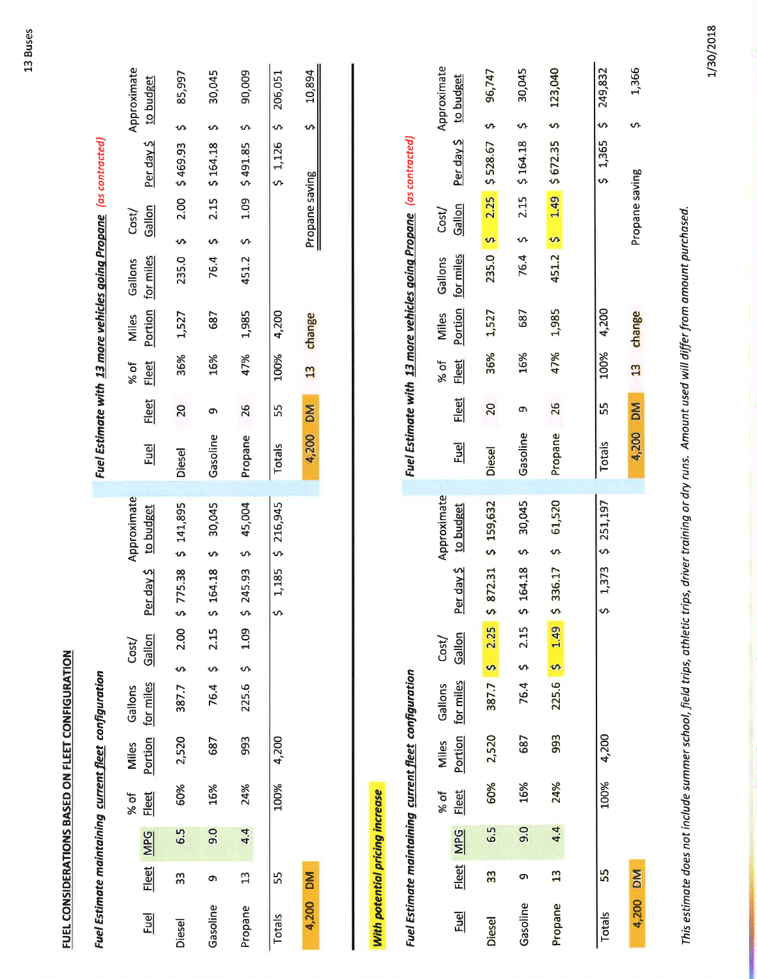FUEL CONSIDERATIONS BASED ON FLEET CONFIGURATION

|          |                |            |                      |                  | <b>Fuel Estimate maintaining current fleet configuration</b> |                 |      |   |                                     |               |              |                      |           |                         |                      |                 | Fuel Estimate with 13 more vehicles going Propane (as contracted) |             |
|----------|----------------|------------|----------------------|------------------|--------------------------------------------------------------|-----------------|------|---|-------------------------------------|---------------|--------------|----------------------|-----------|-------------------------|----------------------|-----------------|-------------------------------------------------------------------|-------------|
| Euel     | <u>Fleet</u>   | <b>MPG</b> | % of<br><u>Fleet</u> | Portion<br>Miles | for miles<br>Gallons                                         | Gallon<br>Cost/ |      |   | Approximate<br>Per day \$ to budget | Euel          | <u>Fleet</u> | % of<br><u>Fleet</u> |           | Miles<br><b>Portion</b> | for miles<br>Gallons | Gallon<br>Cost/ | Per day \$ to budget                                              | Approximate |
|          |                |            |                      |                  |                                                              |                 |      |   |                                     |               |              |                      |           |                         |                      |                 |                                                                   |             |
| Diesel   | က္က            | 6.5        | 60%                  | 2,520            | 387.7 \$ 2.00                                                |                 |      |   | \$775.38 \$141,895                  | <b>Diesel</b> | 20           |                      | 36%       | 1,527                   |                      |                 | 235.0 \$ 2.00 \$469.93                                            | 85,997      |
| Gasoline | თ              | 9.0        | 16%                  | 687              | 76.4 \$                                                      |                 | 2.15 |   | \$164.18 \$30,045                   | Gasoline      | の            |                      | 16%       | 687                     |                      |                 | 76.4 $5$ 2.15 $5$ 164.18 $5$                                      | 30,045      |
| Propane  | $\mathfrak{a}$ | 4.4        | 24%                  | 993              | 225.6 \$ 1.09                                                |                 |      | m | 245.93 \$ 45,004                    |               | Propane 26   |                      | 47%       | 1,985                   |                      |                 | 451.2 \$ 1.09 \$ 491.85 \$                                        | 90,009      |
| Totals   | 55             |            |                      | 100% 4,200       |                                                              |                 |      |   | \$1,185 \$216,945                   | Totals        |              | 55 100% 4,200        |           |                         |                      |                 | \$1,126 \$206,051                                                 |             |
| 4,200 DM |                |            |                      |                  |                                                              |                 |      |   |                                     |               | 4,200 DM     |                      | 13 change |                         |                      | Propane saving  |                                                                   | 5 10,894    |

With potential pricing increase

|               |               |            |              |       | <b>Fuel Estimate maintaining current fleet configuration</b> |                    |              |                      |               |                 |              |       |                   |                | Fuel Estimate with 13 more vehicles going Propane (as contracted) |                   |
|---------------|---------------|------------|--------------|-------|--------------------------------------------------------------|--------------------|--------------|----------------------|---------------|-----------------|--------------|-------|-------------------|----------------|-------------------------------------------------------------------|-------------------|
|               |               |            | % of         | Miles | Gallons                                                      | Cost/              |              | Approximate          |               |                 | % of         | Miles | Gallons           | Cost/          |                                                                   | Approximate       |
| 副             | <u>Fleet</u>  | <b>MPG</b> | <u>Fleet</u> |       | Portion for miles                                            | Gallon             |              | Per day \$ to budget | $\frac{1}{2}$ | <u>Fleet</u>    | <u>Fleet</u> |       | Portion for miles | Gallon         | Per day \$to budget                                               |                   |
| <b>Diesel</b> | 33            | 6.5        | 60%          | 2,520 |                                                              | $387.7$ \$ 2.25 \$ |              | 872.31 \$ 159,632    | <b>Diesel</b> | $\overline{20}$ | 36%          | 1,527 |                   |                | $235.0$ \$ $2.25$ \$ 528.67 \$                                    | 96,747            |
| Gasoline      | თ             | 9.0        | 16%          | 687   |                                                              | 76.4 \$ 2.15       | $\mathbf{v}$ | 164.18 \$ 30,045     | Gasoline      | ጣ               | 16%          | 687   |                   |                | 76.4 \$ 2.15 \$ 164.18 \$                                         | 30,045            |
| Propane       | $\frac{3}{2}$ | 4.4        | 24%          | 993   |                                                              | $225.6$ \$ 1.49 \$ |              | 336.17 \$ 61,520     | Propane       | 26              | 47%          | 1,985 |                   |                | 451.2 $\frac{1}{2}$ 1.49 $\frac{1}{2}$ 672.35 $\frac{1}{2}$       | 123,040           |
| Totals        | 55            |            | 100%         | 4,200 |                                                              |                    | S            | 1,373 \$ 251,197     | Totals        | 55              | 100% 4,200   |       |                   |                |                                                                   | \$1,365 \$249,832 |
| 4,200 DM      |               |            |              |       |                                                              |                    |              |                      | 4,200 DM      |                 | 13 change    |       |                   | Propane saving |                                                                   | 1,366             |

This estimate does not include summer school, field trips, athletic trips, driver training or dry runs. Amount used will differ from amount purchased.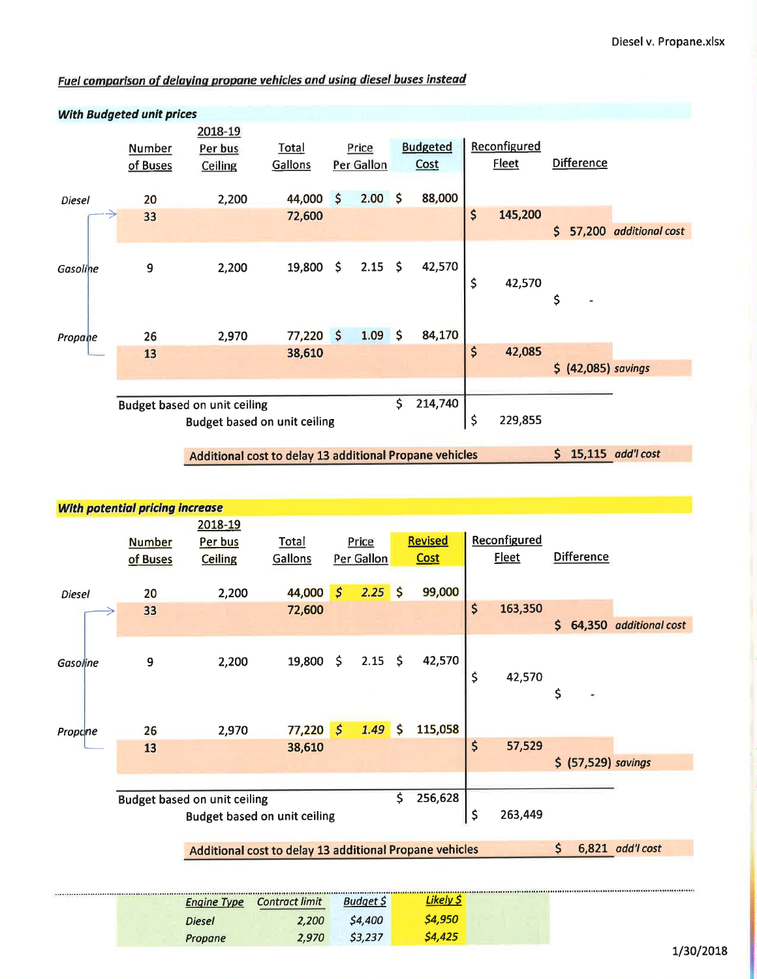### Fuel comparison of delaying propane vehicles and using diesel buses instead



**With potential pricing increase** 2018-19 Reconfigured **Revised Number** Per bus Total Price **Fleet Difference** of Buses **Ceiling** Gallons Per Gallon Cost  $\zeta$ 99,000 20 44,000  $\boldsymbol{\zeta}$  $2.25$ 2,200 Diesel \$ 163,350 33 72,600  $$64,350$  additional cost  $2.15$  \$ 42,570 19,800  $\zeta$ 9 2,200 Gasoline \$ 42,570 \$ 77,220 115,058 1.49  $\zeta$ 2,970  $\mathsf{S}$ 26 Propane \$ 38,610 57,529 13 \$ (57,529) savings  $\mathsf{\mathsf{S}}$ 256,628 **Budget based on unit ceiling Budget based on unit ceiling** \$ 263,449 Additional cost to delay 13 additional Propane vehicles \$ 6,821 add'l cost Likely \$ **Engine Type Contract limit Budget \$** \$4,950 **Diesel** 2,200 \$4,400 \$3,237 \$4,425 2,970

Propane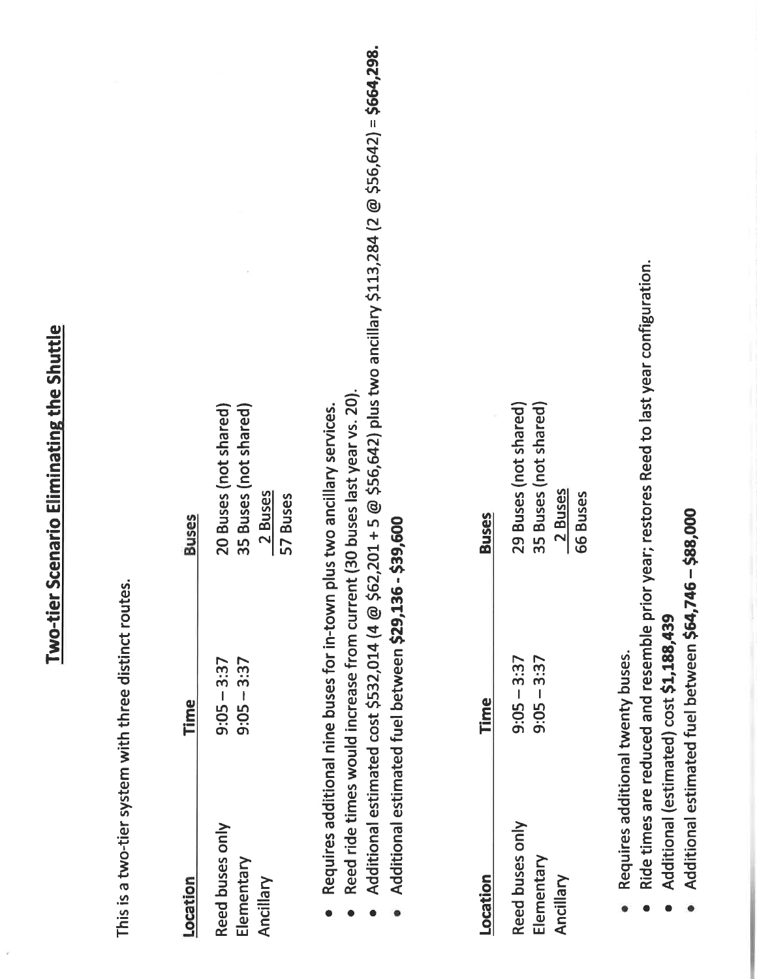# Two-tier Scenario Eliminating the Shuttle

This is a two-tier system with three distinct routes.

| <b>Buses</b> | 20 Buses (not shared)<br>35 Buses (not shared)<br>2 Buses<br>57 Buses |
|--------------|-----------------------------------------------------------------------|
|              |                                                                       |
| Time         | $9:05 - 3:37$<br>$9:05 - 3:37$                                        |
|              | Reed buses only<br>Elementary<br>Ancillar                             |

- Requires additional nine buses for in-town plus two ancillary services.  $\bullet$
- Reed ride times would increase from current (30 buses last year vs. 20).
- Additional estimated cost \$532,014 (4 @ \$62,201 + 5 @ \$56,642) plus two ancillary \$113,284 (2 @ \$56,642) = \$664,298.
- Additional estimated fuel between \$29,136 \$39,600

| Location        | Time          | <b>Buses</b>         |
|-----------------|---------------|----------------------|
| Reed buses only | $9:05 - 3:37$ | 29 Buses (not shared |
| Elementary      | $9:05 - 3:37$ | 35 Buses (not shared |
| Ancillar        |               | 2 Buses              |
|                 |               | <b>66 Buses</b>      |

- Requires additional twenty buses.
- Ride times are reduced and resemble prior year; restores Reed to last year configuration.
- Additional (estimated) cost \$1,188,439
- Additional estimated fuel between \$64,746 \$88,000